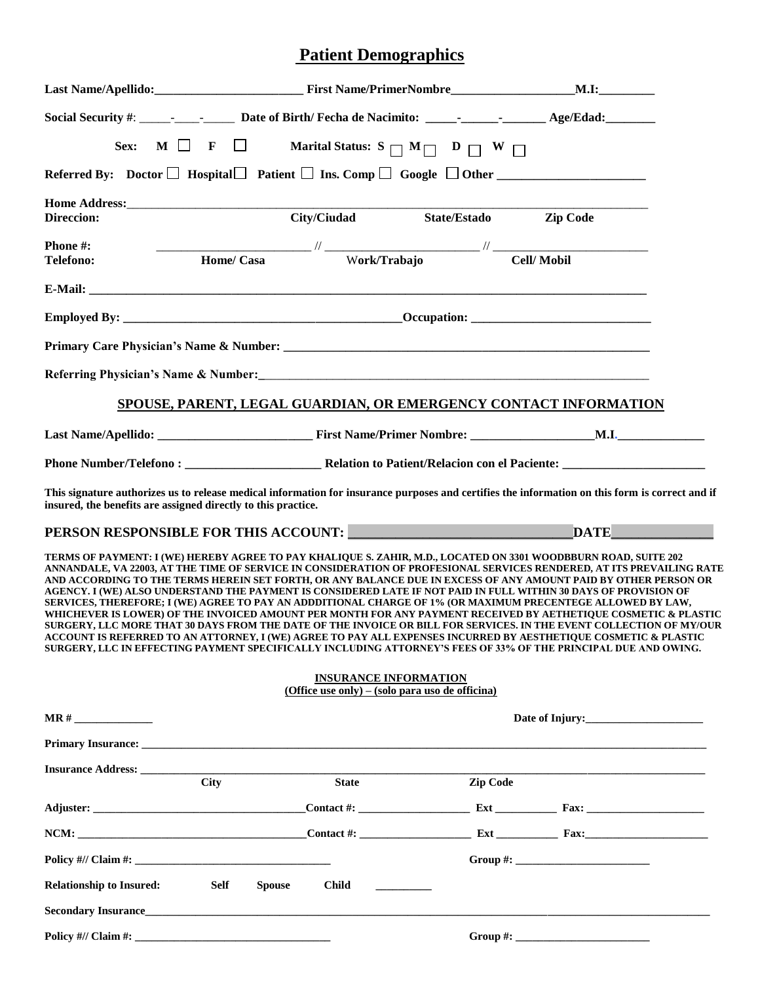## **Patient Demographics**

|                                                                                                                                                                                                                                                                                                                                                                                                                                                                                                                                                                                                                                                                                                                                                                                                                                                                                                                                                                                                                                                                               | Social Security #: _______________________ Date of Birth/Fecha de Nacimito: ________________________ Age/Edad: |                 |                                                                                                                                                                                                                                                                                       |  |
|-------------------------------------------------------------------------------------------------------------------------------------------------------------------------------------------------------------------------------------------------------------------------------------------------------------------------------------------------------------------------------------------------------------------------------------------------------------------------------------------------------------------------------------------------------------------------------------------------------------------------------------------------------------------------------------------------------------------------------------------------------------------------------------------------------------------------------------------------------------------------------------------------------------------------------------------------------------------------------------------------------------------------------------------------------------------------------|----------------------------------------------------------------------------------------------------------------|-----------------|---------------------------------------------------------------------------------------------------------------------------------------------------------------------------------------------------------------------------------------------------------------------------------------|--|
|                                                                                                                                                                                                                                                                                                                                                                                                                                                                                                                                                                                                                                                                                                                                                                                                                                                                                                                                                                                                                                                                               | Sex: M $\Box$ F $\Box$ Marital Status: S $\Box$ M $\Box$ W $\Box$                                              |                 |                                                                                                                                                                                                                                                                                       |  |
|                                                                                                                                                                                                                                                                                                                                                                                                                                                                                                                                                                                                                                                                                                                                                                                                                                                                                                                                                                                                                                                                               |                                                                                                                |                 |                                                                                                                                                                                                                                                                                       |  |
| Direccion:                                                                                                                                                                                                                                                                                                                                                                                                                                                                                                                                                                                                                                                                                                                                                                                                                                                                                                                                                                                                                                                                    | City/Ciudad State/Estado Zip Code                                                                              |                 |                                                                                                                                                                                                                                                                                       |  |
| Phone #:<br>Telefono:                                                                                                                                                                                                                                                                                                                                                                                                                                                                                                                                                                                                                                                                                                                                                                                                                                                                                                                                                                                                                                                         | $\frac{1}{2}$ Home/ Casa $\frac{1}{2}$ Work/Trabajo $\frac{1}{2}$ Cell/ Mobil                                  |                 |                                                                                                                                                                                                                                                                                       |  |
|                                                                                                                                                                                                                                                                                                                                                                                                                                                                                                                                                                                                                                                                                                                                                                                                                                                                                                                                                                                                                                                                               |                                                                                                                |                 |                                                                                                                                                                                                                                                                                       |  |
|                                                                                                                                                                                                                                                                                                                                                                                                                                                                                                                                                                                                                                                                                                                                                                                                                                                                                                                                                                                                                                                                               |                                                                                                                |                 |                                                                                                                                                                                                                                                                                       |  |
|                                                                                                                                                                                                                                                                                                                                                                                                                                                                                                                                                                                                                                                                                                                                                                                                                                                                                                                                                                                                                                                                               |                                                                                                                |                 |                                                                                                                                                                                                                                                                                       |  |
|                                                                                                                                                                                                                                                                                                                                                                                                                                                                                                                                                                                                                                                                                                                                                                                                                                                                                                                                                                                                                                                                               |                                                                                                                |                 |                                                                                                                                                                                                                                                                                       |  |
|                                                                                                                                                                                                                                                                                                                                                                                                                                                                                                                                                                                                                                                                                                                                                                                                                                                                                                                                                                                                                                                                               | SPOUSE, PARENT, LEGAL GUARDIAN, OR EMERGENCY CONTACT INFORMATION                                               |                 |                                                                                                                                                                                                                                                                                       |  |
|                                                                                                                                                                                                                                                                                                                                                                                                                                                                                                                                                                                                                                                                                                                                                                                                                                                                                                                                                                                                                                                                               |                                                                                                                |                 |                                                                                                                                                                                                                                                                                       |  |
|                                                                                                                                                                                                                                                                                                                                                                                                                                                                                                                                                                                                                                                                                                                                                                                                                                                                                                                                                                                                                                                                               |                                                                                                                |                 |                                                                                                                                                                                                                                                                                       |  |
| This signature authorizes us to release medical information for insurance purposes and certifies the information on this form is correct and if<br>insured, the benefits are assigned directly to this practice.                                                                                                                                                                                                                                                                                                                                                                                                                                                                                                                                                                                                                                                                                                                                                                                                                                                              |                                                                                                                |                 |                                                                                                                                                                                                                                                                                       |  |
|                                                                                                                                                                                                                                                                                                                                                                                                                                                                                                                                                                                                                                                                                                                                                                                                                                                                                                                                                                                                                                                                               |                                                                                                                |                 |                                                                                                                                                                                                                                                                                       |  |
| TERMS OF PAYMENT: I (WE) HEREBY AGREE TO PAY KHALIQUE S. ZAHIR, M.D., LOCATED ON 3301 WOODBBURN ROAD, SUITE 202<br>ANNANDALE, VA 22003, AT THE TIME OF SERVICE IN CONSIDERATION OF PROFESIONAL SERVICES RENDERED, AT ITS PREVAILING RATE<br>AND ACCORDING TO THE TERMS HEREIN SET FORTH, OR ANY BALANCE DUE IN EXCESS OF ANY AMOUNT PAID BY OTHER PERSON OR<br>AGENCY. I (WE) ALSO UNDERSTAND THE PAYMENT IS CONSIDERED LATE IF NOT PAID IN FULL WITHIN 30 DAYS OF PROVISION OF<br>SERVICES, THEREFORE; I (WE) AGREE TO PAY AN ADDDITIONAL CHARGE OF 1% (OR MAXIMUM PRECENTEGE ALLOWED BY LAW,<br>WHICHEVER IS LOWER) OF THE INVOICED AMOUNT PER MONTH FOR ANY PAYMENT RECEIVED BY AETHETIQUE COSMETIC & PLASTIC<br>SURGERY, LLC MORE THAT 30 DAYS FROM THE DATE OF THE INVOICE OR BILL FOR SERVICES. IN THE EVENT COLLECTION OF MY/OUR<br>ACCOUNT IS REFERRED TO AN ATTORNEY, I (WE) AGREE TO PAY ALL EXPENSES INCURRED BY AESTHETIQUE COSMETIC & PLASTIC<br>SURGERY, LLC IN EFFECTING PAYMENT SPECIFICALLY INCLUDING ATTORNEY'S FEES OF 33% OF THE PRINCIPAL DUE AND OWING. |                                                                                                                |                 |                                                                                                                                                                                                                                                                                       |  |
|                                                                                                                                                                                                                                                                                                                                                                                                                                                                                                                                                                                                                                                                                                                                                                                                                                                                                                                                                                                                                                                                               | <b>INSURANCE INFORMATION</b><br>(Office use only) – (solo para uso de officina)                                |                 |                                                                                                                                                                                                                                                                                       |  |
|                                                                                                                                                                                                                                                                                                                                                                                                                                                                                                                                                                                                                                                                                                                                                                                                                                                                                                                                                                                                                                                                               |                                                                                                                |                 |                                                                                                                                                                                                                                                                                       |  |
|                                                                                                                                                                                                                                                                                                                                                                                                                                                                                                                                                                                                                                                                                                                                                                                                                                                                                                                                                                                                                                                                               |                                                                                                                |                 |                                                                                                                                                                                                                                                                                       |  |
| City                                                                                                                                                                                                                                                                                                                                                                                                                                                                                                                                                                                                                                                                                                                                                                                                                                                                                                                                                                                                                                                                          | <b>State</b>                                                                                                   | <b>Zip Code</b> | <u> 1980 - Jan Barnett, mars ann an t-Amhain an t-Amhain an t-Amhain an t-Amhain an t-Amhain an t-Amhain an t-Amh</u>                                                                                                                                                                 |  |
|                                                                                                                                                                                                                                                                                                                                                                                                                                                                                                                                                                                                                                                                                                                                                                                                                                                                                                                                                                                                                                                                               |                                                                                                                |                 |                                                                                                                                                                                                                                                                                       |  |
|                                                                                                                                                                                                                                                                                                                                                                                                                                                                                                                                                                                                                                                                                                                                                                                                                                                                                                                                                                                                                                                                               |                                                                                                                |                 |                                                                                                                                                                                                                                                                                       |  |
|                                                                                                                                                                                                                                                                                                                                                                                                                                                                                                                                                                                                                                                                                                                                                                                                                                                                                                                                                                                                                                                                               |                                                                                                                |                 | Group #: $\sqrt{2\pi}$ 6.000 $\sqrt{2\pi}$ 6.000 $\sqrt{2\pi}$ 6.000 $\sqrt{2\pi}$ 6.000 $\sqrt{2\pi}$ 6.000 $\sqrt{2\pi}$ 6.000 $\sqrt{2\pi}$ 6.000 $\sqrt{2\pi}$ 6.000 $\sqrt{2\pi}$ 6.000 $\sqrt{2\pi}$ 6.000 $\sqrt{2\pi}$ 6.000 $\sqrt{2\pi}$ 6.000 $\sqrt{2\pi}$ 6.000 $\sqrt{$ |  |
| <b>Relationship to Insured:</b><br>Self                                                                                                                                                                                                                                                                                                                                                                                                                                                                                                                                                                                                                                                                                                                                                                                                                                                                                                                                                                                                                                       | <b>Spouse</b>                                                                                                  |                 |                                                                                                                                                                                                                                                                                       |  |
| Secondary Insurance <b>Executive Construction Construction</b> Construction Construction Construction Construction Construction Construction Construction Construction Construction Construction Construction Construction Construc                                                                                                                                                                                                                                                                                                                                                                                                                                                                                                                                                                                                                                                                                                                                                                                                                                           |                                                                                                                |                 |                                                                                                                                                                                                                                                                                       |  |
|                                                                                                                                                                                                                                                                                                                                                                                                                                                                                                                                                                                                                                                                                                                                                                                                                                                                                                                                                                                                                                                                               |                                                                                                                |                 |                                                                                                                                                                                                                                                                                       |  |